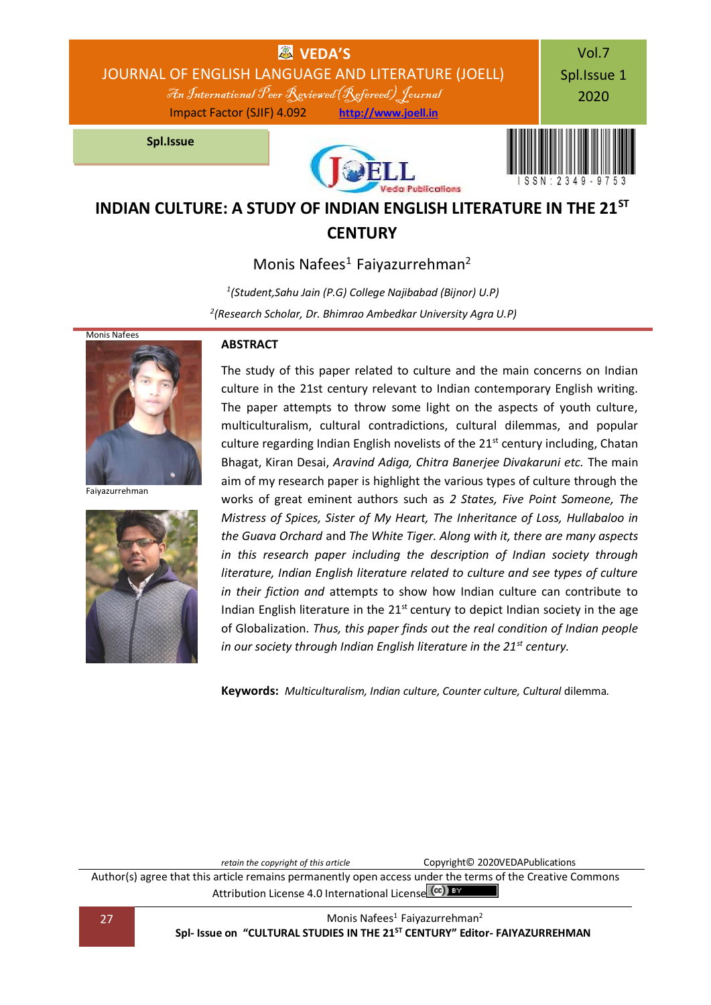

# **INDIAN CULTURE: A STUDY OF INDIAN ENGLISH LITERATURE IN THE 21ST CENTURY**

Monis Nafees<sup>1</sup> Faiyazurrehman<sup>2</sup>

*1 (Student,Sahu Jain (P.G) College Najibabad (Bijnor) U.P) 2 (Research Scholar, Dr. Bhimrao Ambedkar University Agra U.P)*



Faiyazurrehman



#### **ABSTRACT**

The study of this paper related to culture and the main concerns on Indian culture in the 21st century relevant to Indian contemporary English writing. The paper attempts to throw some light on the aspects of youth culture, multiculturalism, cultural contradictions, cultural dilemmas, and popular culture regarding Indian English novelists of the  $21<sup>st</sup>$  century including, Chatan Bhagat, Kiran Desai, *Aravind Adiga, Chitra Banerjee Divakaruni etc.* The main aim of my research paper is highlight the various types of culture through the works of great eminent authors such as *2 States, Five Point Someone, The Mistress of Spices, Sister of My Heart, The Inheritance of Loss, Hullabaloo in the Guava Orchard* and *The White Tiger. Along with it, there are many aspects in this research paper including the description of Indian society through literature, Indian English literature related to culture and see types of culture in their fiction and* attempt*s* to show how Indian culture can contribute to Indian English literature in the  $21<sup>st</sup>$  century to depict Indian society in the age of Globalization. *Thus, this paper finds out the real condition of Indian people in our society through Indian English literature in the 21st century.*

**Keywords:** *Multiculturalism, Indian culture, Counter culture, Cultural* dilemma*.*

*retain the copyright of this article* **Copyright© 2020VEDAPublications** Author(s) agree that this article remains permanently open access under the terms of the Creative Commons Attribution Lic[e](http://creativecommons.org/licenses/by/4.0/)nse 4.0 International License (cc) BY

27 Monis Nafees<sup>1</sup> Faiyazurrehman<sup>2</sup> **Spl- Issue on "CULTURAL STUDIES IN THE 21ST CENTURY" Editor- FAIYAZURREHMAN**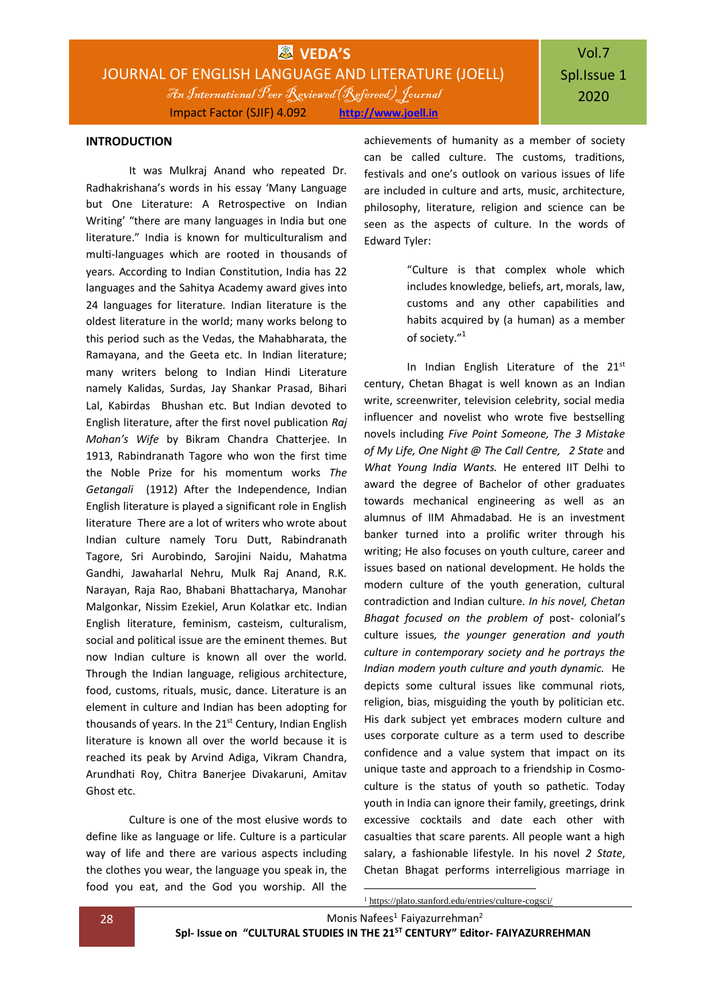#### **INTRODUCTION**

It was Mulkraj Anand who repeated Dr. Radhakrishana's words in his essay 'Many Language but One Literature: A Retrospective on Indian Writing' "there are many languages in India but one literature." India is known for multiculturalism and multi-languages which are rooted in thousands of years. According to Indian Constitution, India has 22 languages and the Sahitya Academy award gives into 24 languages for literature. Indian literature is the oldest literature in the world; many works belong to this period such as the Vedas, the Mahabharata, the Ramayana, and the Geeta etc. In Indian literature; many writers belong to Indian Hindi Literature namely Kalidas, Surdas, Jay Shankar Prasad, Bihari Lal, Kabirdas Bhushan etc. But Indian devoted to English literature, after the first novel publication *Raj Mohan's Wife* by Bikram Chandra Chatterjee. In 1913, Rabindranath Tagore who won the first time the Noble Prize for his momentum works *The Getangali* (1912) After the Independence, Indian English literature is played a significant role in English literature There are a lot of writers who wrote about Indian culture namely Toru Dutt, Rabindranath Tagore, Sri Aurobindo, Sarojini Naidu, Mahatma Gandhi, Jawaharlal Nehru, Mulk Raj Anand, R.K. Narayan, Raja Rao, Bhabani Bhattacharya, Manohar Malgonkar, Nissim Ezekiel, Arun Kolatkar etc. Indian English literature, feminism, casteism, culturalism, social and political issue are the eminent themes. But now Indian culture is known all over the world. Through the Indian language, religious architecture, food, customs, rituals, music, dance. Literature is an element in culture and Indian has been adopting for thousands of years. In the 21<sup>st</sup> Century, Indian English literature is known all over the world because it is reached its peak by Arvind Adiga, Vikram Chandra, Arundhati Roy, Chitra Banerjee Divakaruni, Amitav Ghost etc.

Culture is one of the most elusive words to define like as language or life. Culture is a particular way of life and there are various aspects including the clothes you wear, the language you speak in, the food you eat, and the God you worship. All the

achievements of humanity as a member of society can be called culture. The customs, traditions, festivals and one's outlook on various issues of life are included in culture and arts, music, architecture, philosophy, literature, religion and science can be seen as the aspects of culture. In the words of Edward Tyler:

> "Culture is that complex whole which includes knowledge, beliefs, art, morals, law, customs and any other capabilities and habits acquired by (a human) as a member of society."<sup>1</sup>

In Indian English Literature of the  $21<sup>st</sup>$ century, Chetan Bhagat is well known as an Indian write, screenwriter, television celebrity, social media influencer and novelist who wrote five bestselling novels including *Five Point Someone, The 3 Mistake of My Life, One Night @ The Call Centre, 2 State* and *What Young India Wants.* He entered IIT Delhi to award the degree of Bachelor of other graduates towards mechanical engineering as well as an alumnus of IIM Ahmadabad. He is an investment banker turned into a prolific writer through his writing; He also focuses on youth culture, career and issues based on national development. He holds the modern culture of the youth generation, cultural contradiction and Indian culture. *In his novel, Chetan Bhagat focused on the problem of* post- colonial's culture issues*, the younger generation and youth culture in contemporary society and he portrays the Indian modern youth culture and youth dynamic.* He depicts some cultural issues like communal riots, religion, bias, misguiding the youth by politician etc. His dark subject yet embraces modern culture and uses corporate culture as a term used to describe confidence and a value system that impact on its unique taste and approach to a friendship in Cosmoculture is the status of youth so pathetic. Today youth in India can ignore their family, greetings, drink excessive cocktails and date each other with casualties that scare parents. All people want a high salary, a fashionable lifestyle. In his novel *2 State*, Chetan Bhagat performs interreligious marriage in

28 Monis Nafees<sup>1</sup> Faiyazurrehman<sup>2</sup> **Spl- Issue on "CULTURAL STUDIES IN THE 21ST CENTURY" Editor- FAIYAZURREHMAN** <sup>1</sup> <https://plato.stanford.edu/entries/culture-cogsci/>

1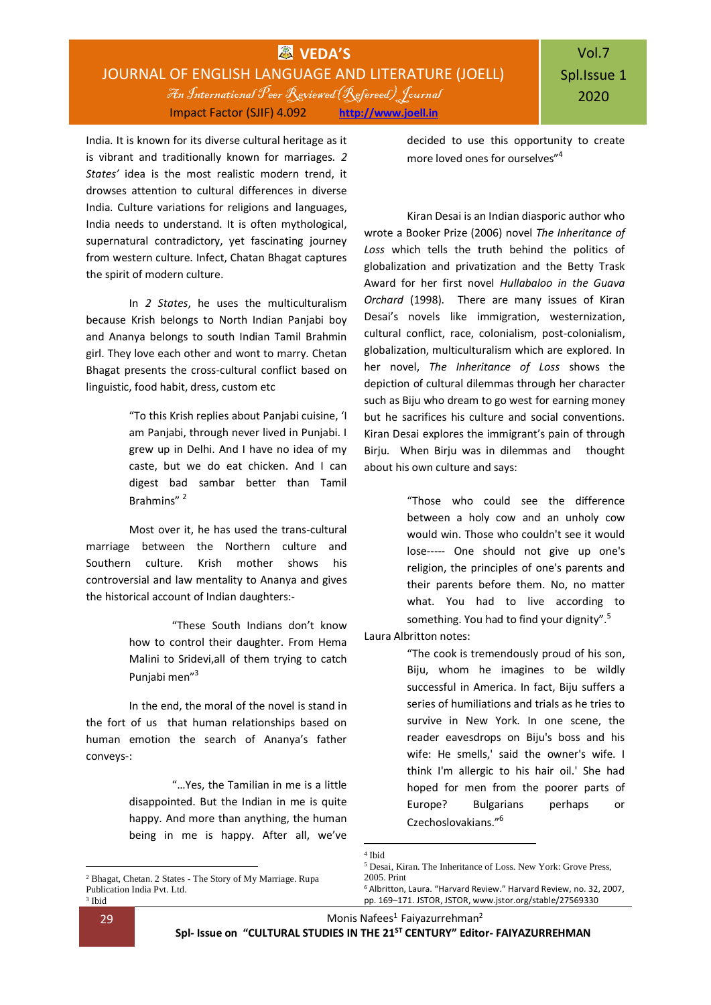India. It is known for its diverse cultural heritage as it is vibrant and traditionally known for marriages. *2 States'* idea is the most realistic modern trend, it drowses attention to cultural differences in diverse India. Culture variations for religions and languages, India needs to understand. It is often mythological, supernatural contradictory, yet fascinating journey from western culture. Infect, Chatan Bhagat captures the spirit of modern culture.

In *2 States*, he uses the multiculturalism because Krish belongs to North Indian Panjabi boy and Ananya belongs to south Indian Tamil Brahmin girl. They love each other and wont to marry. Chetan Bhagat presents the cross-cultural conflict based on linguistic, food habit, dress, custom etc

> "To this Krish replies about Panjabi cuisine, 'I am Panjabi, through never lived in Punjabi. I grew up in Delhi. And I have no idea of my caste, but we do eat chicken. And I can digest bad sambar better than Tamil Brahmins" <sup>2</sup>

Most over it, he has used the trans-cultural marriage between the Northern culture and Southern culture. Krish mother shows his controversial and law mentality to Ananya and gives the historical account of Indian daughters:-

> "These South Indians don't know how to control their daughter. From Hema Malini to Sridevi,all of them trying to catch Punjabi men"<sup>3</sup>

In the end, the moral of the novel is stand in the fort of us that human relationships based on human emotion the search of Ananya's father conveys-:

> "…Yes, the Tamilian in me is a little disappointed. But the Indian in me is quite happy. And more than anything, the human being in me is happy. After all, we've

decided to use this opportunity to create more loved ones for ourselves"<sup>4</sup>

Kiran Desai is an Indian diasporic author who wrote a Booker Prize (2006) novel *The Inheritance of Loss* which tells the truth behind the politics of globalization and privatization and the Betty Trask Award for her first novel *Hullabaloo in the Guava Orchard* (1998). There are many issues of Kiran Desai's novels like immigration, westernization, cultural conflict, race, colonialism, post-colonialism, globalization, multiculturalism which are explored. In her novel, *The Inheritance of Loss* shows the depiction of cultural dilemmas through her character such as Biju who dream to go west for earning money but he sacrifices his culture and social conventions. Kiran Desai explores the immigrant's pain of through Birju. When Birju was in dilemmas and thought about his own culture and says:

> "Those who could see the difference between a holy cow and an unholy cow would win. Those who couldn't see it would lose----- One should not give up one's religion, the principles of one's parents and their parents before them. No, no matter what. You had to live according to something. You had to find your dignity".<sup>5</sup>

Laura Albritton notes:

"The cook is tremendously proud of his son, Biju, whom he imagines to be wildly successful in America. In fact, Biju suffers a series of humiliations and trials as he tries to survive in New York. In one scene, the reader eavesdrops on Biju's boss and his wife: He smells,' said the owner's wife. I think I'm allergic to his hair oil.' She had hoped for men from the poorer parts of Europe? Bulgarians perhaps or Czechoslovakians."<sup>6</sup>

1

<sup>2</sup> Bhagat, Chetan. 2 States - The Story of My Marriage. Rupa Publication India Pvt. Ltd. 3 Ibid

<sup>1</sup> 4 Ibid

<sup>5</sup> Desai, Kiran. The Inheritance of Loss. New York: Grove Press, 2005. Print

<sup>6</sup> Albritton, Laura. "Harvard Review." Harvard Review, no. 32, 2007, pp. 169–171. JSTOR, JSTOR, www.jstor.org/stable/27569330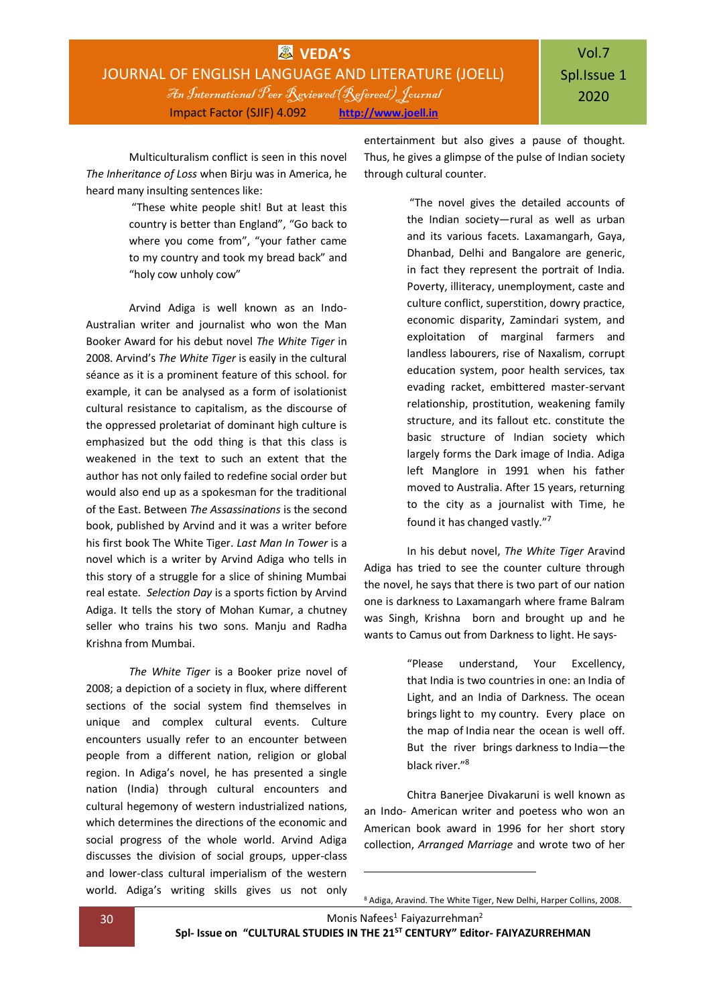## **WAS** VEDA'S JOURNAL OF ENGLISH LANGUAGE AND LITERATURE (JOELL) An International Peer Reviewed(Refereed) Journal Impact Factor (SJIF) 4.092 **[http://www.joell.in](http://www.joell.in/)**

Multiculturalism conflict is seen in this novel *The Inheritance of Loss* when Birju was in America, he heard many insulting sentences like:

> "These white people shit! But at least this country is better than England", "Go back to where you come from", "your father came to my country and took my bread back" and "holy cow unholy cow"

Arvind Adiga is well known as an Indo-Australian writer and journalist who won the Man Booker Award for his debut novel *The White Tiger* in 2008. Arvind's *The White Tiger* is easily in the cultural séance as it is a prominent feature of this school. for example, it can be analysed as a form of isolationist cultural resistance to capitalism, as the discourse of the oppressed proletariat of dominant high culture is emphasized but the odd thing is that this class is weakened in the text to such an extent that the author has not only failed to redefine social order but would also end up as a spokesman for the traditional of the East. Between *The Assassinations* is the second book, published by Arvind and it was a writer before his first book The White Tiger. *Last Man In Tower* is a novel which is a writer by Arvind Adiga who tells in this story of a struggle for a slice of shining Mumbai real estate. *Selection Day* is a sports fiction by Arvind Adiga. It tells the story of Mohan Kumar, a chutney seller who trains his two sons. Manju and Radha Krishna from Mumbai.

*The White Tiger* is a Booker prize novel of 2008; a depiction of a society in flux, where different sections of the social system find themselves in unique and complex cultural events. Culture encounters usually refer to an encounter between people from a different nation, religion or global region. In Adiga's novel, he has presented a single nation (India) through cultural encounters and cultural hegemony of western industrialized nations, which determines the directions of the economic and social progress of the whole world. Arvind Adiga discusses the division of social groups, upper-class and lower-class cultural imperialism of the western world. Adiga's writing skills gives us not only entertainment but also gives a pause of thought. Thus, he gives a glimpse of the pulse of Indian society through cultural counter.

> "The novel gives the detailed accounts of the Indian society—rural as well as urban and its various facets. Laxamangarh, Gaya, Dhanbad, Delhi and Bangalore are generic, in fact they represent the portrait of India. Poverty, illiteracy, unemployment, caste and culture conflict, superstition, dowry practice, economic disparity, Zamindari system, and exploitation of marginal farmers and landless labourers, rise of Naxalism, corrupt education system, poor health services, tax evading racket, embittered master-servant relationship, prostitution, weakening family structure, and its fallout etc. constitute the basic structure of Indian society which largely forms the Dark image of India. Adiga left Manglore in 1991 when his father moved to Australia. After 15 years, returning to the city as a journalist with Time, he found it has changed vastly."<sup>7</sup>

In his debut novel, *The White Tiger* Aravind Adiga has tried to see the counter culture through the novel, he says that there is two part of our nation one is darkness to Laxamangarh where frame Balram was Singh, Krishna born and brought up and he wants to Camus out from Darkness to light. He says-

> "Please understand, Your Excellency, that India is two countries in one: an India of Light, and an India of Darkness. The ocean brings light to my country. Every place on the map of India near the ocean is well off. But the river brings darkness to India—the black river."<sup>8</sup>

Chitra Banerjee Divakaruni is well known as an Indo- American writer and poetess who won an American book award in 1996 for her short story collection, *Arranged Marriage* and wrote two of her

30 Monis Nafees<sup>1</sup> Faiyazurrehman<sup>2</sup>

**Spl- Issue on "CULTURAL STUDIES IN THE 21ST CENTURY" Editor- FAIYAZURREHMAN**

-

<sup>8</sup> Adiga, Aravind. The White Tiger, New Delhi, Harper Collins, 2008.